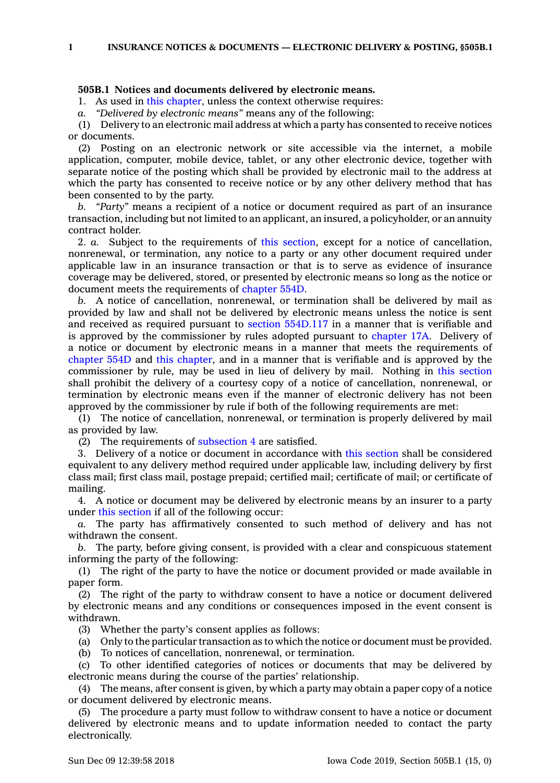**1 INSURANCE NOTICES & DOCUMENTS — ELECTRONIC DELIVERY & POSTING, §505B.1**

## **505B.1 Notices and documents delivered by electronic means.**

1. As used in this [chapter](https://www.legis.iowa.gov/docs/code//505B.pdf), unless the context otherwise requires:

*a. "Delivered by electronic means"* means any of the following:

(1) Delivery to an electronic mail address at which <sup>a</sup> party has consented to receive notices or documents.

(2) Posting on an electronic network or site accessible via the internet, <sup>a</sup> mobile application, computer, mobile device, tablet, or any other electronic device, together with separate notice of the posting which shall be provided by electronic mail to the address at which the party has consented to receive notice or by any other delivery method that has been consented to by the party.

*b. "Party"* means <sup>a</sup> recipient of <sup>a</sup> notice or document required as part of an insurance transaction, including but not limited to an applicant, an insured, <sup>a</sup> policyholder, or an annuity contract holder.

2. *a.* Subject to the requirements of this [section](https://www.legis.iowa.gov/docs/code/505B.1.pdf), except for <sup>a</sup> notice of cancellation, nonrenewal, or termination, any notice to <sup>a</sup> party or any other document required under applicable law in an insurance transaction or that is to serve as evidence of insurance coverage may be delivered, stored, or presented by electronic means so long as the notice or document meets the requirements of [chapter](https://www.legis.iowa.gov/docs/code//554D.pdf) 554D.

*b.* A notice of cancellation, nonrenewal, or termination shall be delivered by mail as provided by law and shall not be delivered by electronic means unless the notice is sent and received as required pursuant to section [554D.117](https://www.legis.iowa.gov/docs/code/554D.117.pdf) in <sup>a</sup> manner that is verifiable and is approved by the commissioner by rules adopted pursuant to [chapter](https://www.legis.iowa.gov/docs/code//17A.pdf) 17A. Delivery of <sup>a</sup> notice or document by electronic means in <sup>a</sup> manner that meets the requirements of [chapter](https://www.legis.iowa.gov/docs/code//554D.pdf) 554D and this [chapter](https://www.legis.iowa.gov/docs/code//505B.pdf), and in <sup>a</sup> manner that is verifiable and is approved by the commissioner by rule, may be used in lieu of delivery by mail. Nothing in this [section](https://www.legis.iowa.gov/docs/code/505B.1.pdf) shall prohibit the delivery of <sup>a</sup> courtesy copy of <sup>a</sup> notice of cancellation, nonrenewal, or termination by electronic means even if the manner of electronic delivery has not been approved by the commissioner by rule if both of the following requirements are met:

(1) The notice of cancellation, nonrenewal, or termination is properly delivered by mail as provided by law.

(2) The requirements of [subsection](https://www.legis.iowa.gov/docs/code/505B.1.pdf) 4 are satisfied.

3. Delivery of <sup>a</sup> notice or document in accordance with this [section](https://www.legis.iowa.gov/docs/code/505B.1.pdf) shall be considered equivalent to any delivery method required under applicable law, including delivery by first class mail; first class mail, postage prepaid; certified mail; certificate of mail; or certificate of mailing.

4. A notice or document may be delivered by electronic means by an insurer to <sup>a</sup> party under this [section](https://www.legis.iowa.gov/docs/code/505B.1.pdf) if all of the following occur:

*a.* The party has affirmatively consented to such method of delivery and has not withdrawn the consent.

*b.* The party, before giving consent, is provided with <sup>a</sup> clear and conspicuous statement informing the party of the following:

(1) The right of the party to have the notice or document provided or made available in paper form.

(2) The right of the party to withdraw consent to have <sup>a</sup> notice or document delivered by electronic means and any conditions or consequences imposed in the event consent is withdrawn.

(3) Whether the party's consent applies as follows:

(a) Only to the particular transaction as to which the notice or document must be provided.

(b) To notices of cancellation, nonrenewal, or termination.

(c) To other identified categories of notices or documents that may be delivered by electronic means during the course of the parties' relationship.

(4) The means, after consent is given, by which <sup>a</sup> party may obtain <sup>a</sup> paper copy of <sup>a</sup> notice or document delivered by electronic means.

(5) The procedure <sup>a</sup> party must follow to withdraw consent to have <sup>a</sup> notice or document delivered by electronic means and to update information needed to contact the party electronically.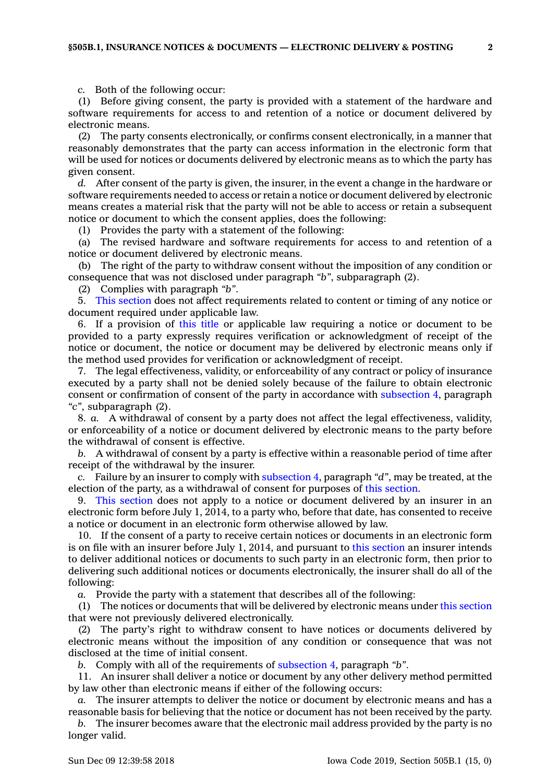*c.* Both of the following occur:

(1) Before giving consent, the party is provided with <sup>a</sup> statement of the hardware and software requirements for access to and retention of <sup>a</sup> notice or document delivered by electronic means.

(2) The party consents electronically, or confirms consent electronically, in <sup>a</sup> manner that reasonably demonstrates that the party can access information in the electronic form that will be used for notices or documents delivered by electronic means as to which the party has given consent.

*d.* After consent of the party is given, the insurer, in the event <sup>a</sup> change in the hardware or software requirements needed to access or retain <sup>a</sup> notice or document delivered by electronic means creates <sup>a</sup> material risk that the party will not be able to access or retain <sup>a</sup> subsequent notice or document to which the consent applies, does the following:

(1) Provides the party with <sup>a</sup> statement of the following:

(a) The revised hardware and software requirements for access to and retention of <sup>a</sup> notice or document delivered by electronic means.

(b) The right of the party to withdraw consent without the imposition of any condition or consequence that was not disclosed under paragraph *"b"*, subparagraph (2).

(2) Complies with paragraph *"b"*.

5. This [section](https://www.legis.iowa.gov/docs/code/505B.1.pdf) does not affect requirements related to content or timing of any notice or document required under applicable law.

6. If <sup>a</sup> provision of this title or applicable law requiring <sup>a</sup> notice or document to be provided to <sup>a</sup> party expressly requires verification or acknowledgment of receipt of the notice or document, the notice or document may be delivered by electronic means only if the method used provides for verification or acknowledgment of receipt.

7. The legal effectiveness, validity, or enforceability of any contract or policy of insurance executed by <sup>a</sup> party shall not be denied solely because of the failure to obtain electronic consent or confirmation of consent of the party in accordance with [subsection](https://www.legis.iowa.gov/docs/code/505B.1.pdf) 4, paragraph *"c"*, subparagraph (2).

8. *a.* A withdrawal of consent by <sup>a</sup> party does not affect the legal effectiveness, validity, or enforceability of <sup>a</sup> notice or document delivered by electronic means to the party before the withdrawal of consent is effective.

*b.* A withdrawal of consent by <sup>a</sup> party is effective within <sup>a</sup> reasonable period of time after receipt of the withdrawal by the insurer.

*c.* Failure by an insurer to comply with [subsection](https://www.legis.iowa.gov/docs/code/505B.1.pdf) 4, paragraph *"d"*, may be treated, at the election of the party, as <sup>a</sup> withdrawal of consent for purposes of this [section](https://www.legis.iowa.gov/docs/code/505B.1.pdf).

9. This [section](https://www.legis.iowa.gov/docs/code/505B.1.pdf) does not apply to <sup>a</sup> notice or document delivered by an insurer in an electronic form before July 1, 2014, to <sup>a</sup> party who, before that date, has consented to receive <sup>a</sup> notice or document in an electronic form otherwise allowed by law.

10. If the consent of <sup>a</sup> party to receive certain notices or documents in an electronic form is on file with an insurer before July 1, 2014, and pursuant to this [section](https://www.legis.iowa.gov/docs/code/505B.1.pdf) an insurer intends to deliver additional notices or documents to such party in an electronic form, then prior to delivering such additional notices or documents electronically, the insurer shall do all of the following:

*a.* Provide the party with <sup>a</sup> statement that describes all of the following:

(1) The notices or documents that will be delivered by electronic means under this [section](https://www.legis.iowa.gov/docs/code/505B.1.pdf) that were not previously delivered electronically.

(2) The party's right to withdraw consent to have notices or documents delivered by electronic means without the imposition of any condition or consequence that was not disclosed at the time of initial consent.

*b.* Comply with all of the requirements of [subsection](https://www.legis.iowa.gov/docs/code/505B.1.pdf) 4, paragraph *"b"*.

11. An insurer shall deliver <sup>a</sup> notice or document by any other delivery method permitted by law other than electronic means if either of the following occurs:

*a.* The insurer attempts to deliver the notice or document by electronic means and has <sup>a</sup> reasonable basis for believing that the notice or document has not been received by the party.

*b.* The insurer becomes aware that the electronic mail address provided by the party is no longer valid.